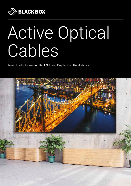

# Active Optical Cables

Take ultra-high-bandwidth HDMI and DisplayPort the distance

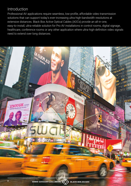# Introduction

Professional AV applications require seamless, low-profile, affordable video transmission solutions that can support today's ever-increasing ultra-high-bandwidth resolutions at extensive distances. Black Box Active Optical Cables (AOCs) provide an all-in-one, easy-to-install, ultra-reliable solution for Pro AV installations in control rooms, digital signage, healthcare, conference rooms or any other application where ultra-high-definition video signals need to extend over long distances.

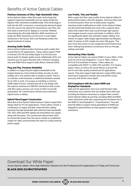# Benefits of Active Optical Cables

### Flawless Extension of Ultra-High-Bandwidth Video

Active Optical Cables utilise fibre-optic technology that supports expansive bandwidth and can easily handle the highest video resolutions available today. Fibre technology is built into the AOC connectors, converting the electrical signal from the source into optical for transmission over fibre, and then back to electrical for display on a monitor. Whether transmitting the ultra-high-definition 4K60 resolutions of today, the 8K60 resolutions of tomorrow or even higher resolutions in the future, AOCs can flawlessly extend the signal hundreds of metres.

### Amazing Audio Quality

Active Optical Cable provides immersive audio quality that is essential for AV applications. These cables support PCM 8-Channel, DTS-HD and Dolby Digital True HD Surround Sound audio for theater quality sound. Additionally, AOCs can transmit up to 32 audio channels with a 1536 kHz sampling rate, and HDMI AOCs support Audio Return Channel (ARC).

### Plug and Play, Premium Reliability

In addition to supporting the highest bandwidth at the longest distances, Active Optical Cables are also an ultrareliable, all-in-one solution that is simple to install. There is no software, external power or additional hardware needed for an AOC to work. It's as easy as installing a common HDMI cable at home. Combine this all-in-one design with the superior resistance to EMI/RFI interference that comes with fibre optics, and you can count on AOCs to provide guaranteed, 24/7 performance without any momentary signal losses or delays.

### Hybrid Fibre/Copper Construction

Black Box Active Optical Cables feature a hybrid copper/fibre design ideal for Pro AV applications. These cables contain a combination of copper and fibre, where the fibre cabling transmits the high-bandwidth data while the lower-bandwidth CEC, DDC, EDID and HPD signals are transmitted over copper, along with the power. This construction allows these AOCs to receive their power from the source, similar to a traditional copper AV cable, and eliminates the need for a bulky external power supply.

### Low Profile, Thin and Flexible

With a super-thin fibre-optic profile, Active Optical Cables fit easily behind today's ultra-thin displays. And since they need no external power, there are no bulky power supplies requiring install modifications to hide. Active Optical Cables are also extremely flexible and come with a superior bend radius that makes them easy to pull through tight spaces and navigate around corners and bends. In addition, AOCs are significantly lighter than standard copper cabling: Five metres of copper cable weighs approximately one kilogram, while 10 metres of AOC weighs less than 300 grams. This puts much less stress on your equipment and infrastructure when making long-distance connections that run through ceilings and walls.

### Outstanding Video Quality

Active Optical Cables can extend HDMI 2.0 up to 4096 x 2160 at 60 Hz (4:4:4) and DisplayPort 1.4 up to 7680 x 4320 at 60 Hz (4:2:0) hundreds of metres. These cables are compatible with HDCP 2.2, EDID, CEC and DDC, 21:9 cinema aspect ratios, as well as 3D visual effects, to ensure the end-to-end video quality professional AV applications require. They also support high-dynamic-range (HDR) video, ensuring an expansive contrast ratio and perfect colour accuracy with 48-bit colour depth.

### Full Compliance with the Latest HDMI and DisplayPort Standards

High-end AV applications don't just need the best video resolutions, but a solution that can display them while also providing the features necessary to support their content. Active Optical Cables do just that, providing 4K60 and 8K60 video resolutions while also supporting the full feature set of the HDMI 2.0 and DisplayPort 1.4 specifications. They also have the ability to support future generations of HDMI and DisplayPort specifications as they expand to even higher resolutions.

## Download Our White Paper:

Active Optical Cables: Ultra-High-Definition Solutions for the Professional AV Applications of Today and Tomorrow

### [BLACK-BOX.EU/WHITEPAPERS](http://www.black-box.eu/whitepapers)

00800-22552269 (CALLBBOX) [BLACK-BOX.EU/AOC](http://www.black-box.eu/aoc) **<sup>3</sup>**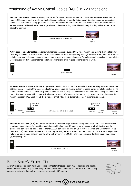**Standard copper video cables** are the typical choice for transmitting AV signals short distances. However, as resolutions reach 4K60, copper cabling starts getting bulkier, and achieving a standard distance of 5 metres becomes increasingly difficult. This problem will only get worse as 8K solutions become more common, and as video resolutions continue to expand, copper cables will either have to get shorter or become so big, inflexible and pricey that they will no longer be an attractive solution.



**Active copper extender cables** can achieve longer distances and support UHD video resolutions, making them suitable for mid-range installations where resolutions don't exceed 4K30, and routing through ceilings and walls is not required. But these solutions are also bulkier and become increasingly expensive at longer distances. They also contain equalisation controls for video adjustment that can sometimes be temperamental and often require external power to work.



**AV extenders** are available today that support video resolutions up to 4K60 at extended distances. They require a transmitter at the source, a receiver at the screen, and external power supplies, making a clean or space-saving installation difficult. The additional connections also add more potential points of failure. They can utilise either copper or fibre cabling to connect the transmitter and receiver, with copper typically maxing out at 100 metres, while fibre cabling can get into the kilometres. As resolutions reach 4K60 and beyond, the distances shrink while the extenders become much more expensive.



**Active Optical Cables (AOC)** are the all-in-one cable solution that provides ultra-high-bandwidth data transmission over short and long distance. As the video resolutions get higher, the AOC cabling stays the same ultra-thin size, and the distances it can extend a signal do not change. AOCs can extend HDMI 2.0 up to 4K60 Hz (4:4:4) and DisplayPort 1.4 up to 8K60 (4:2:0) hundreds of metres, and do not require bulky external power supplies. On top of that, the minimal points of failure in a single cable solution and the ultra-high immunity to EMI/RFI interference ensure flawless quality that keeps your signal up 24/7.



# Black Box AV Expert Tip

Active Optical Cables from Black Box feature connectors that are clearly marked source and display, which makes installation quick and easy. Connect the source connector to the source and the display connector to the display, and you are ready to transmit UHD content.

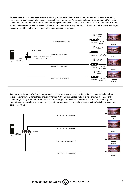**AV extenders that combine extension with splitting and/or switching** are even more complex and expensive, requiring numerous devices to accomplish the desired result. A copper or fibre AV extender solution with a splitter and/or switch built into the transmitter unit would be required, along with multiple receiver units to connect to all of the monitors. If that kind of solution is not available, one would have to combine a standard splitter or switch with multiple extender kits to get the same result but with a much higher risk of incompatibility problems.



**Active Optical Cables (AOCs)** are not only used to connect a single source to a single display but can also be utilised in applications that call for splitting and/or switching. Active Optical Cables make this type of setup much easier by connecting directly to a standard HDMI splitter or switch, just like a normal passive cable. You do not need any special transmitter or receiver hardware, and the only additional points of failure are between the splitter/switch ports and the connected AOCs.

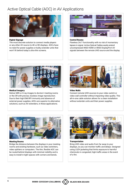## Active Optical Cable (AOC) in AV Applications



### Digital Signage

The most discrete solution to connect media players or any other AV source to 4K or 8K displays. AOCs have no need for power supplies or bulky extender units that won't fit behind today's ultra-thin screens.



### Control Rooms

Flawless 24/7 functionality with no risk of momentary lapses in signal. Active Optical Cables easily extend uncompressed 4K60 HDMI or 8K60 DisplayPort AV signals between the remote UHD source and the display.



### Medical Imagery

Deliver MRI or X-ray images to doctors' meeting rooms or the OR with precise, lossless image reproduction. Due to their high EMI/RFI immunity and absence of external power supplies, AOCs are superior to alternative solutions, such as AV extenders, in these applications.



### Video Walls

Connect remote UHD sources to your video switch or video wall controller without impacting video quality. This all-in-one cable solution allows for a clean installation without extender units and their power supplies.



### Meeting Rooms

Bridge the distance between the displays in your meeting rooms and existing hardware, such as video switchers, video splitters or computers. The thin, flexible AOC can be routed behind displays with minimal visibility and is easy to install in tight spaces with corners and bends.



# **Transportation**

Bring UHD video and audio from far away to your displays, so you can monitor traffic and delays. Designed using LSZH jacketing that limits exposure to harmful chemicals in congested, high-traffic areas in the event of a fire.

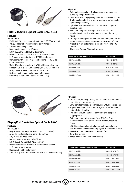

### HDMI 2.0 Active Optical Cable 4K60 4:4:4

### Features

### **Video/Audio**

- Full HDMI 2.0 compliance with 4096 x 2160/3840 x 2160 (4K)@ 60 Hz 4:4:4 resolutions up to 100 metres
- 30-/36-/48-bit deep colour
- Data transfer rates up to 18 Gbps
- EDID/CEC/DDC and HDCP 2.2 conform
- Delivers dual video streams to compatible displays
- 21:9 cinema aspect ratio and BT.2020 colorimetry
- Compliant with category 2 specifications 600-MHz clock frequency
- Up to 32 audio channels with a 1536 kHz sampling rate • Supports up to eight PCM channels, DTS-HD Master and
- Dolby Digital True HD surround sound audio
- Delivers multi-stream audio to up to four users
- Compatible with Audio Return Channel (ARC)

### **Physical**

- Gold-plated, zinc-alloy HDMI connectors for enhanced durability and performance
- OM3 fibre technology greatly reduces EMI/RFI emissions
- Triple-shielding further protects against interference for optimal signal quality
- Hybrid construction utilises both fibre and copper to supply power
- Extended temperature range from 0° to 70° C for installations in harsh environments or manufacturing floors
- LSZH jacket complies with fire protection regulations and increases the safety of employees in the event of a fire
- Available in multiple standard lengths from 10 to 100 metres
- Three-year Double Diamond warranty

| <b>HDMI 2.0 Active Optical Cable</b> | <b>Part Number</b> |
|--------------------------------------|--------------------|
| 10-Metre Cable                       | AOC-HL-H2-10M      |
| 15-Metre Cable                       | AOC-HL-H2-15M      |
| 30-Metre Cable                       | AOC-HL-H2-30M      |
| 50-Metre Spool                       | AOC-HL-H2-50M      |
| 100-Metre Spool                      | AOC-HL-H2-100M     |



### DisplayPort 1.4 Active Optical Cable 8K60

### Features

### **Video/Audio**

- DisplayPort 1.4 compliance with 7680 x 4320 (8K) @ 60 Hz 4:2:0 resolutions up to 100 metres
- 30-/36-/48-bit deep colour
- Data transfer rates up to 32.4 Gbps
- EDID/CEC/DDC and HDCP 2.2 conform
- Delivers dual video streams to compatible displays
- 21:9 cinema aspect ratio
- Supports BT.2020 colorimetry
- Supports up to 32 audio channels with a 1536 kHz sampling

### **Physical**

- Gold-plated, latching DisplayPort connectors for enhanced durability and performance
- OM3 fibre technology greatly reduces EMI/RFI emissions
- Triple-shielding further protects against interference for optimal signal quality
- Hybrid construction utilises both fibre and copper to supply power
- Extended temperature range from 0° to 70° C for installations in harsh environments or manufacturing floors
- LSZH jacket complies with fire protection regulations and increases the safety of employees in the event of a fire
- Available in multiple standard lengths from 10 to 100 metres
- Three-year Double Diamond warranty

| <b>DisplayPort 1.4 Active Optical Cable</b> | <b>Part Number</b> |
|---------------------------------------------|--------------------|
| 10-Metre Cable                              | $AOC-HI-DP4-10M$   |
| 15-Metre Cable                              | $AOC-HI-DP4-15M$   |
| 30-Metre Cable                              | AOC-HL-DP4-30M     |
| 40-Metre Spool                              | AOC-HL-DP4-40M     |
| 50-Metre Spool                              | AOC-HL-DP4-50M     |
| 100-Metre Spool                             | AOC-HL-DP4-100M    |